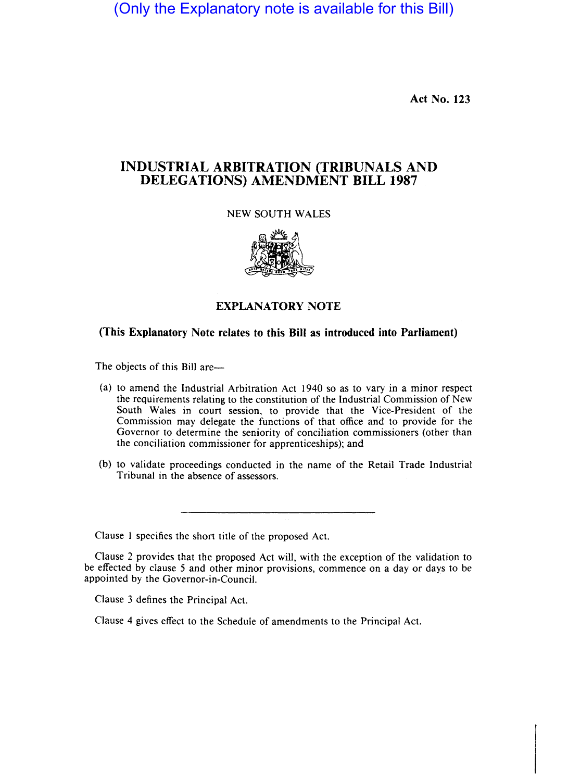(Only the Explanatory note is available for this Bill)

**Act No. 123** 

## **INDUSTRIAL ARBITRATION (TRIBUNALS AND DELEGATIONS) AMENDMENT BILL 1987**

## NEW SOUTH WALES



## **EXPLANATORY NOTE**

## **(This Explanatory Note relates to this Bill as introduced into Parliament)**

The objects of this Bill are-

- (a) to amend the Industrial Arbitration Act 1940 so as to vary in a minor respect the requirements relating to the constitution of the Industrial Commission of New South Wales in court session, to provide that the Vice-President of the Commission may delegate the functions of that office and to provide for the Governor to determine the seniority of conciliation commissioners (other than the conciliation commissioner for apprenticeships); and
- (b) to validate proceedings conducted in the name of the Retail Trade Industrial Tribunal in the absence of assessors.

Clause 1 specifies the short title of the proposed Act.

Clause 2 provides that the proposed Act will, with the exception of the validation to be effected by clause 5 and other minor provisions, commence on a day or days to be appointed by the Governor-in-Council.

Clause 3 defines the Principal Act.

Clause 4 gives effect to the Schedule of amendments to the Principal Act.